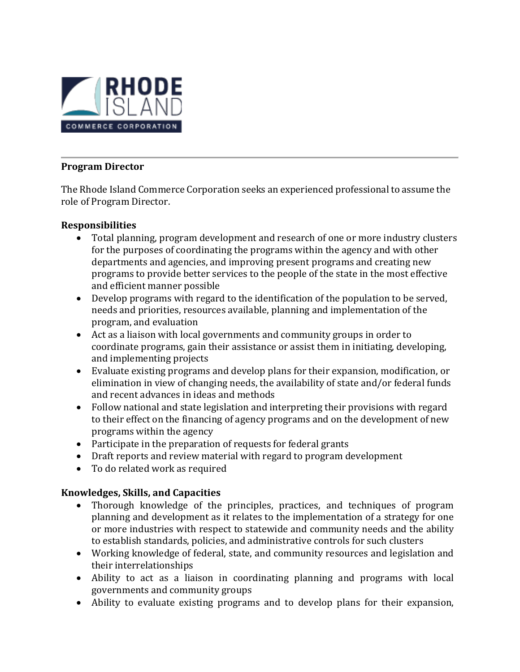

## **Program Director**

The Rhode Island Commerce Corporation seeks an experienced professional to assume the role of Program Director.

#### **Responsibilities**

- Total planning, program development and research of one or more industry clusters for the purposes of coordinating the programs within the agency and with other departments and agencies, and improving present programs and creating new programs to provide better services to the people of the state in the most effective and efficient manner possible
- Develop programs with regard to the identification of the population to be served, needs and priorities, resources available, planning and implementation of the program, and evaluation
- Act as a liaison with local governments and community groups in order to coordinate programs, gain their assistance or assist them in initiating, developing, and implementing projects
- Evaluate existing programs and develop plans for their expansion, modification, or elimination in view of changing needs, the availability of state and/or federal funds and recent advances in ideas and methods
- Follow national and state legislation and interpreting their provisions with regard to their effect on the financing of agency programs and on the development of new programs within the agency
- Participate in the preparation of requests for federal grants
- Draft reports and review material with regard to program development
- To do related work as required

# **Knowledges, Skills, and Capacities**

- Thorough knowledge of the principles, practices, and techniques of program planning and development as it relates to the implementation of a strategy for one or more industries with respect to statewide and community needs and the ability to establish standards, policies, and administrative controls for such clusters
- Working knowledge of federal, state, and community resources and legislation and their interrelationships
- Ability to act as a liaison in coordinating planning and programs with local governments and community groups
- Ability to evaluate existing programs and to develop plans for their expansion,